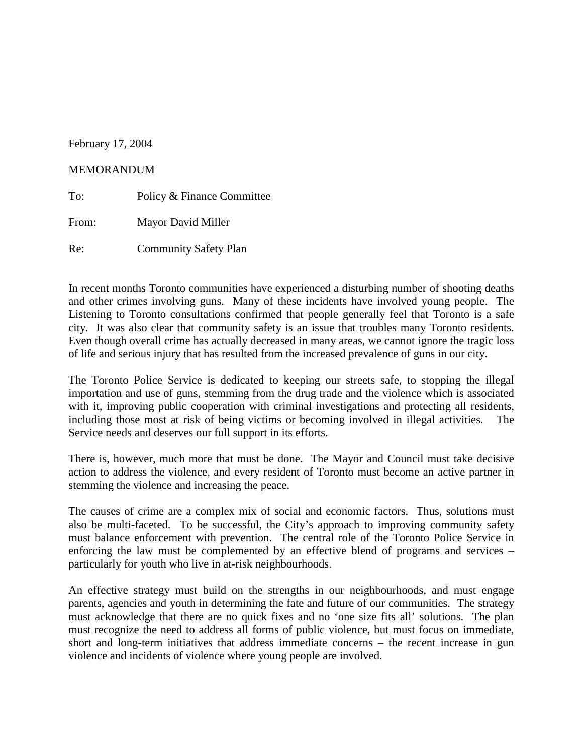## February 17, 2004

### MEMORANDUM

To: Policy & Finance Committee From: Mayor David Miller Re: Community Safety Plan

In recent months Toronto communities have experienced a disturbing number of shooting deaths and other crimes involving guns. Many of these incidents have involved young people. The Listening to Toronto consultations confirmed that people generally feel that Toronto is a safe city*.* It was also clear that community safety is an issue that troubles many Toronto residents. Even though overall crime has actually decreased in many areas, we cannot ignore the tragic loss of life and serious injury that has resulted from the increased prevalence of guns in our city.

The Toronto Police Service is dedicated to keeping our streets safe, to stopping the illegal importation and use of guns, stemming from the drug trade and the violence which is associated with it, improving public cooperation with criminal investigations and protecting all residents, including those most at risk of being victims or becoming involved in illegal activities. The Service needs and deserves our full support in its efforts.

There is, however, much more that must be done. The Mayor and Council must take decisive action to address the violence, and every resident of Toronto must become an active partner in stemming the violence and increasing the peace.

The causes of crime are a complex mix of social and economic factors. Thus, solutions must also be multi-faceted. To be successful, the City's approach to improving community safety must balance enforcement with prevention. The central role of the Toronto Police Service in enforcing the law must be complemented by an effective blend of programs and services – particularly for youth who live in at-risk neighbourhoods.

An effective strategy must build on the strengths in our neighbourhoods, and must engage parents, agencies and youth in determining the fate and future of our communities. The strategy must acknowledge that there are no quick fixes and no 'one size fits all' solutions. The plan must recognize the need to address all forms of public violence, but must focus on immediate, short and long-term initiatives that address immediate concerns – the recent increase in gun violence and incidents of violence where young people are involved.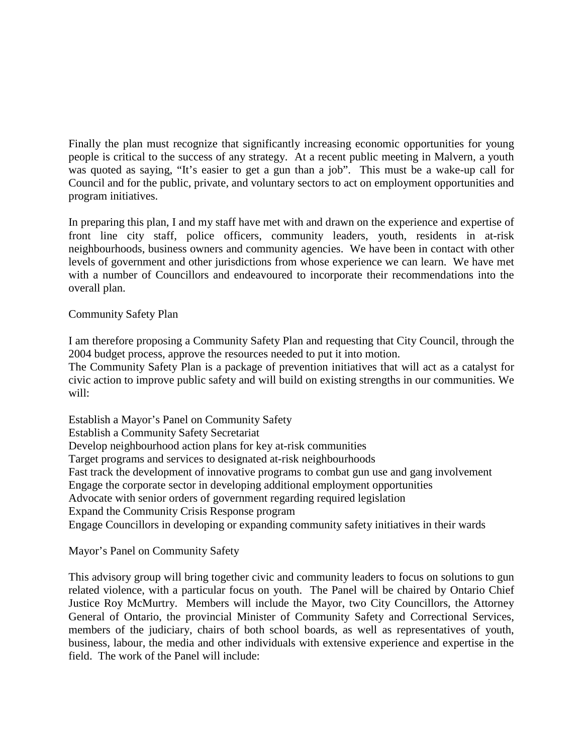Finally the plan must recognize that significantly increasing economic opportunities for young people is critical to the success of any strategy. At a recent public meeting in Malvern, a youth was quoted as saying, "It's easier to get a gun than a job". This must be a wake-up call for Council and for the public, private, and voluntary sectors to act on employment opportunities and program initiatives.

In preparing this plan, I and my staff have met with and drawn on the experience and expertise of front line city staff, police officers, community leaders, youth, residents in at-risk neighbourhoods, business owners and community agencies. We have been in contact with other levels of government and other jurisdictions from whose experience we can learn. We have met with a number of Councillors and endeavoured to incorporate their recommendations into the overall plan.

### Community Safety Plan

I am therefore proposing a Community Safety Plan and requesting that City Council, through the 2004 budget process, approve the resources needed to put it into motion.

The Community Safety Plan is a package of prevention initiatives that will act as a catalyst for civic action to improve public safety and will build on existing strengths in our communities. We will:

Establish a Mayor's Panel on Community Safety Establish a Community Safety Secretariat Develop neighbourhood action plans for key at-risk communities Target programs and services to designated at-risk neighbourhoods Fast track the development of innovative programs to combat gun use and gang involvement Engage the corporate sector in developing additional employment opportunities Advocate with senior orders of government regarding required legislation Expand the Community Crisis Response program Engage Councillors in developing or expanding community safety initiatives in their wards

### Mayor's Panel on Community Safety

This advisory group will bring together civic and community leaders to focus on solutions to gun related violence, with a particular focus on youth. The Panel will be chaired by Ontario Chief Justice Roy McMurtry. Members will include the Mayor, two City Councillors, the Attorney General of Ontario, the provincial Minister of Community Safety and Correctional Services, members of the judiciary, chairs of both school boards, as well as representatives of youth, business, labour, the media and other individuals with extensive experience and expertise in the field. The work of the Panel will include: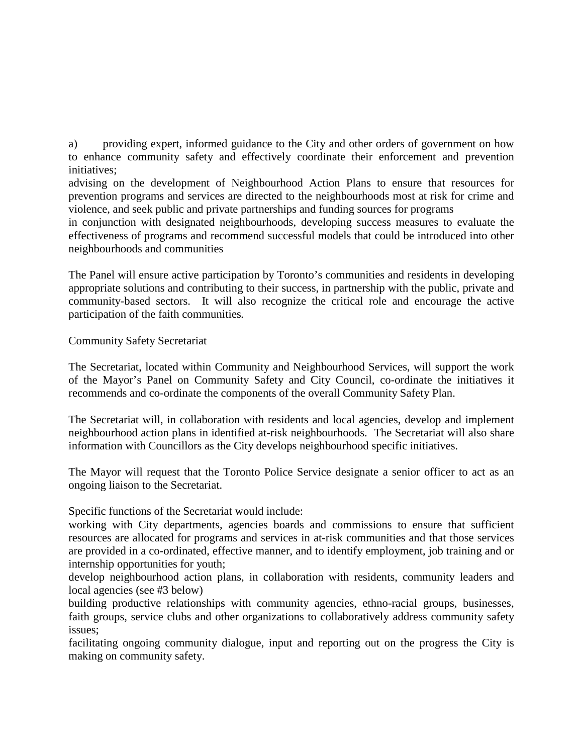a) providing expert, informed guidance to the City and other orders of government on how to enhance community safety and effectively coordinate their enforcement and prevention initiatives;

advising on the development of Neighbourhood Action Plans to ensure that resources for prevention programs and services are directed to the neighbourhoods most at risk for crime and violence, and seek public and private partnerships and funding sources for programs

in conjunction with designated neighbourhoods, developing success measures to evaluate the effectiveness of programs and recommend successful models that could be introduced into other neighbourhoods and communities

The Panel will ensure active participation by Toronto's communities and residents in developing appropriate solutions and contributing to their success, in partnership with the public, private and community-based sectors. It will also recognize the critical role and encourage the active participation of the faith communities*.*

# Community Safety Secretariat

The Secretariat, located within Community and Neighbourhood Services, will support the work of the Mayor's Panel on Community Safety and City Council, co-ordinate the initiatives it recommends and co-ordinate the components of the overall Community Safety Plan.

The Secretariat will, in collaboration with residents and local agencies, develop and implement neighbourhood action plans in identified at-risk neighbourhoods. The Secretariat will also share information with Councillors as the City develops neighbourhood specific initiatives.

The Mayor will request that the Toronto Police Service designate a senior officer to act as an ongoing liaison to the Secretariat.

Specific functions of the Secretariat would include:

working with City departments, agencies boards and commissions to ensure that sufficient resources are allocated for programs and services in at-risk communities and that those services are provided in a co-ordinated, effective manner, and to identify employment, job training and or internship opportunities for youth;

develop neighbourhood action plans, in collaboration with residents, community leaders and local agencies (see #3 below)

building productive relationships with community agencies, ethno-racial groups, businesses, faith groups, service clubs and other organizations to collaboratively address community safety issues;

facilitating ongoing community dialogue, input and reporting out on the progress the City is making on community safety.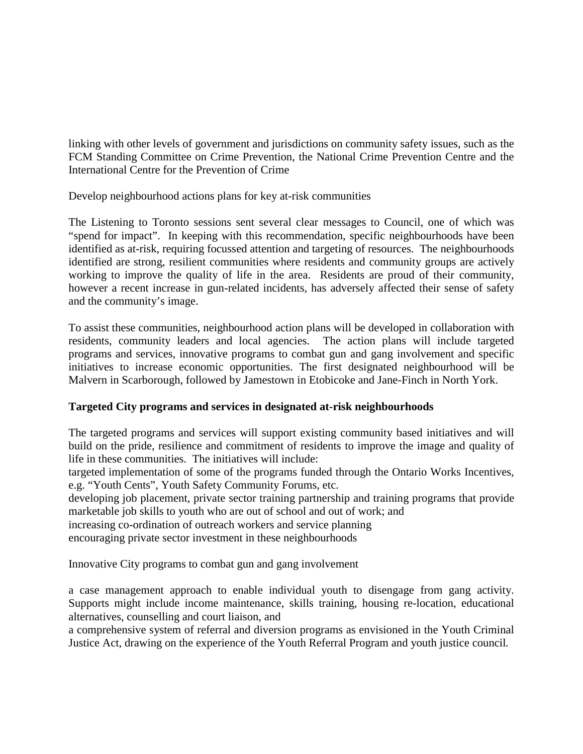linking with other levels of government and jurisdictions on community safety issues, such as the FCM Standing Committee on Crime Prevention, the National Crime Prevention Centre and the International Centre for the Prevention of Crime

Develop neighbourhood actions plans for key at-risk communities

The Listening to Toronto sessions sent several clear messages to Council, one of which was "spend for impact". In keeping with this recommendation, specific neighbourhoods have been identified as at-risk, requiring focussed attention and targeting of resources. The neighbourhoods identified are strong, resilient communities where residents and community groups are actively working to improve the quality of life in the area. Residents are proud of their community, however a recent increase in gun-related incidents, has adversely affected their sense of safety and the community's image.

To assist these communities, neighbourhood action plans will be developed in collaboration with residents, community leaders and local agencies. The action plans will include targeted programs and services, innovative programs to combat gun and gang involvement and specific initiatives to increase economic opportunities. The first designated neighbourhood will be Malvern in Scarborough, followed by Jamestown in Etobicoke and Jane-Finch in North York.

# **Targeted City programs and services in designated at-risk neighbourhoods**

The targeted programs and services will support existing community based initiatives and will build on the pride, resilience and commitment of residents to improve the image and quality of life in these communities. The initiatives will include:

targeted implementation of some of the programs funded through the Ontario Works Incentives, e.g. "Youth Cents", Youth Safety Community Forums, etc.

developing job placement, private sector training partnership and training programs that provide marketable job skills to youth who are out of school and out of work; and

increasing co-ordination of outreach workers and service planning

encouraging private sector investment in these neighbourhoods

Innovative City programs to combat gun and gang involvement

a case management approach to enable individual youth to disengage from gang activity. Supports might include income maintenance, skills training, housing re-location, educational alternatives, counselling and court liaison, and

a comprehensive system of referral and diversion programs as envisioned in the Youth Criminal Justice Act, drawing on the experience of the Youth Referral Program and youth justice council*.*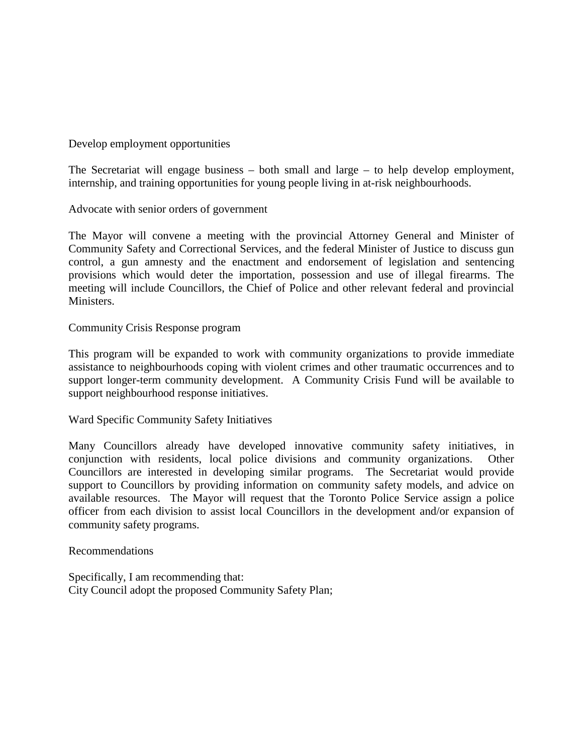Develop employment opportunities

The Secretariat will engage business – both small and large – to help develop employment, internship, and training opportunities for young people living in at-risk neighbourhoods.

Advocate with senior orders of government

The Mayor will convene a meeting with the provincial Attorney General and Minister of Community Safety and Correctional Services, and the federal Minister of Justice to discuss gun control, a gun amnesty and the enactment and endorsement of legislation and sentencing provisions which would deter the importation, possession and use of illegal firearms. The meeting will include Councillors, the Chief of Police and other relevant federal and provincial Ministers.

Community Crisis Response program

This program will be expanded to work with community organizations to provide immediate assistance to neighbourhoods coping with violent crimes and other traumatic occurrences and to support longer-term community development. A Community Crisis Fund will be available to support neighbourhood response initiatives.

Ward Specific Community Safety Initiatives

Many Councillors already have developed innovative community safety initiatives, in conjunction with residents, local police divisions and community organizations. Other Councillors are interested in developing similar programs. The Secretariat would provide support to Councillors by providing information on community safety models, and advice on available resources. The Mayor will request that the Toronto Police Service assign a police officer from each division to assist local Councillors in the development and/or expansion of community safety programs.

Recommendations

Specifically, I am recommending that: City Council adopt the proposed Community Safety Plan;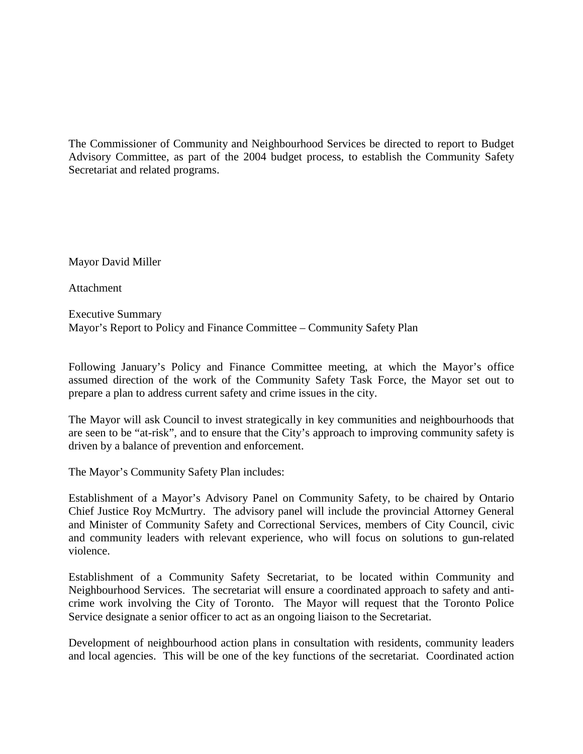The Commissioner of Community and Neighbourhood Services be directed to report to Budget Advisory Committee, as part of the 2004 budget process, to establish the Community Safety Secretariat and related programs.

Mayor David Miller

**Attachment** 

Executive Summary Mayor's Report to Policy and Finance Committee – Community Safety Plan

Following January's Policy and Finance Committee meeting, at which the Mayor's office assumed direction of the work of the Community Safety Task Force, the Mayor set out to prepare a plan to address current safety and crime issues in the city.

The Mayor will ask Council to invest strategically in key communities and neighbourhoods that are seen to be "at-risk", and to ensure that the City's approach to improving community safety is driven by a balance of prevention and enforcement.

The Mayor's Community Safety Plan includes:

Establishment of a Mayor's Advisory Panel on Community Safety, to be chaired by Ontario Chief Justice Roy McMurtry. The advisory panel will include the provincial Attorney General and Minister of Community Safety and Correctional Services, members of City Council, civic and community leaders with relevant experience, who will focus on solutions to gun-related violence.

Establishment of a Community Safety Secretariat, to be located within Community and Neighbourhood Services. The secretariat will ensure a coordinated approach to safety and anticrime work involving the City of Toronto. The Mayor will request that the Toronto Police Service designate a senior officer to act as an ongoing liaison to the Secretariat.

Development of neighbourhood action plans in consultation with residents, community leaders and local agencies. This will be one of the key functions of the secretariat. Coordinated action